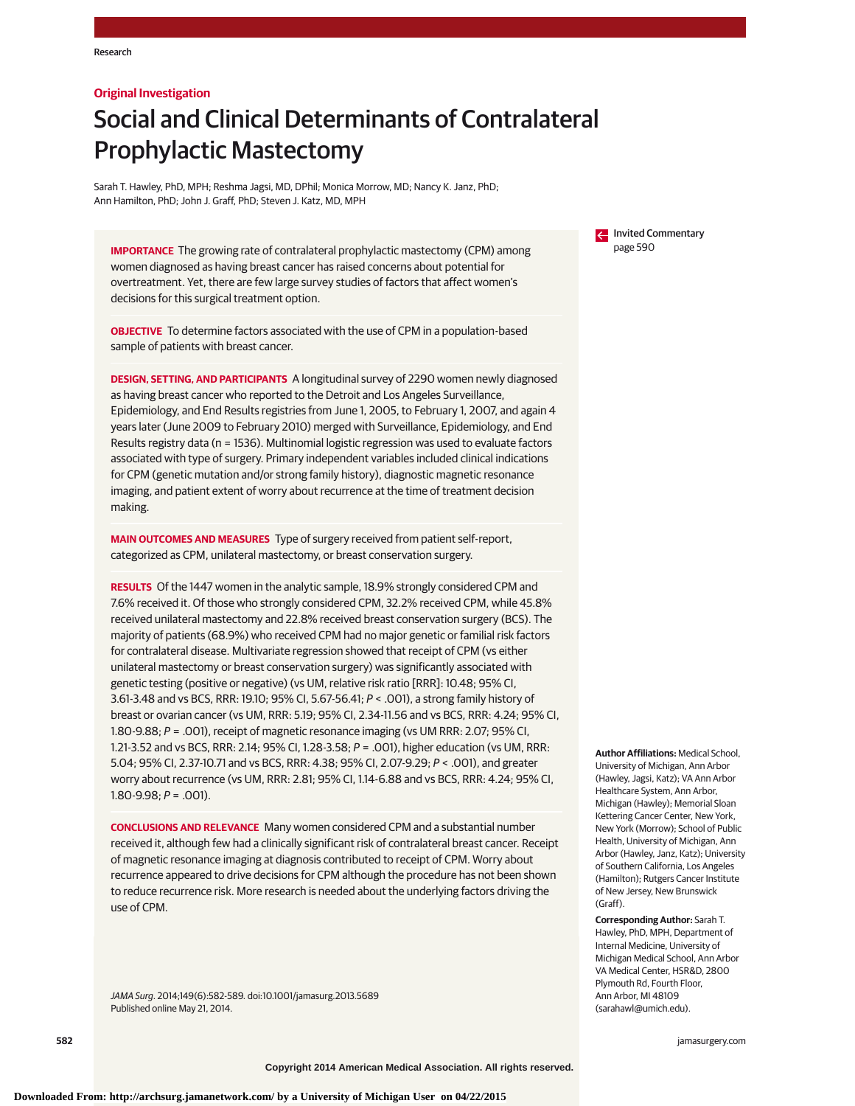## **Original Investigation**

# Social and Clinical Determinants of Contralateral Prophylactic Mastectomy

Sarah T. Hawley, PhD, MPH; Reshma Jagsi, MD, DPhil; Monica Morrow, MD; Nancy K. Janz, PhD; Ann Hamilton, PhD; John J. Graff, PhD; Steven J. Katz, MD, MPH

**IMPORTANCE** The growing rate of contralateral prophylactic mastectomy (CPM) among women diagnosed as having breast cancer has raised concerns about potential for overtreatment. Yet, there are few large survey studies of factors that affect women's decisions for this surgical treatment option.

**OBJECTIVE** To determine factors associated with the use of CPM in a population-based sample of patients with breast cancer.

**DESIGN, SETTING, AND PARTICIPANTS** A longitudinal survey of 2290 women newly diagnosed as having breast cancer who reported to the Detroit and Los Angeles Surveillance, Epidemiology, and End Results registries from June 1, 2005, to February 1, 2007, and again 4 years later (June 2009 to February 2010) merged with Surveillance, Epidemiology, and End Results registry data (n = 1536). Multinomial logistic regression was used to evaluate factors associated with type of surgery. Primary independent variables included clinical indications for CPM (genetic mutation and/or strong family history), diagnostic magnetic resonance imaging, and patient extent of worry about recurrence at the time of treatment decision making.

**MAIN OUTCOMES AND MEASURES** Type of surgery received from patient self-report, categorized as CPM, unilateral mastectomy, or breast conservation surgery.

**RESULTS** Of the 1447 women in the analytic sample, 18.9% strongly considered CPM and 7.6% received it. Of those who strongly considered CPM, 32.2% received CPM, while 45.8% received unilateral mastectomy and 22.8% received breast conservation surgery (BCS). The majority of patients (68.9%) who received CPM had no major genetic or familial risk factors for contralateral disease. Multivariate regression showed that receipt of CPM (vs either unilateral mastectomy or breast conservation surgery) was significantly associated with genetic testing (positive or negative) (vs UM, relative risk ratio [RRR]: 10.48; 95% CI, 3.61-3.48 and vs BCS, RRR: 19.10; 95% CI, 5.67-56.41; P < .001), a strong family history of breast or ovarian cancer (vs UM, RRR: 5.19; 95% CI, 2.34-11.56 and vs BCS, RRR: 4.24; 95% CI, 1.80-9.88; P = .001), receipt of magnetic resonance imaging (vs UM RRR: 2.07; 95% CI, 1.21-3.52 and vs BCS, RRR: 2.14; 95% CI, 1.28-3.58; P = .001), higher education (vs UM, RRR: 5.04; 95% CI, 2.37-10.71 and vs BCS, RRR: 4.38; 95% CI, 2.07-9.29; P < .001), and greater worry about recurrence (vs UM, RRR: 2.81; 95% CI, 1.14-6.88 and vs BCS, RRR: 4.24; 95% CI,  $1.80 - 9.98$ ;  $P = .001$ ).

**CONCLUSIONS AND RELEVANCE** Many women considered CPM and a substantial number received it, although few had a clinically significant risk of contralateral breast cancer. Receipt of magnetic resonance imaging at diagnosis contributed to receipt of CPM. Worry about recurrence appeared to drive decisions for CPM although the procedure has not been shown to reduce recurrence risk. More research is needed about the underlying factors driving the use of CPM.

JAMA Surg. 2014;149(6):582-589. doi:10.1001/jamasurg.2013.5689 Published online May 21, 2014.

Invited Commentary page 590

**Author Affiliations:** Medical School, University of Michigan, Ann Arbor (Hawley, Jagsi, Katz); VA Ann Arbor Healthcare System, Ann Arbor, Michigan (Hawley); Memorial Sloan Kettering Cancer Center, New York, New York (Morrow); School of Public Health, University of Michigan, Ann Arbor (Hawley, Janz, Katz); University of Southern California, Los Angeles (Hamilton); Rutgers Cancer Institute of New Jersey, New Brunswick (Graff).

**Corresponding Author:** Sarah T. Hawley, PhD, MPH, Department of Internal Medicine, University of Michigan Medical School, Ann Arbor VA Medical Center, HSR&D, 2800 Plymouth Rd, Fourth Floor, Ann Arbor, MI 48109 (sarahawl@umich.edu).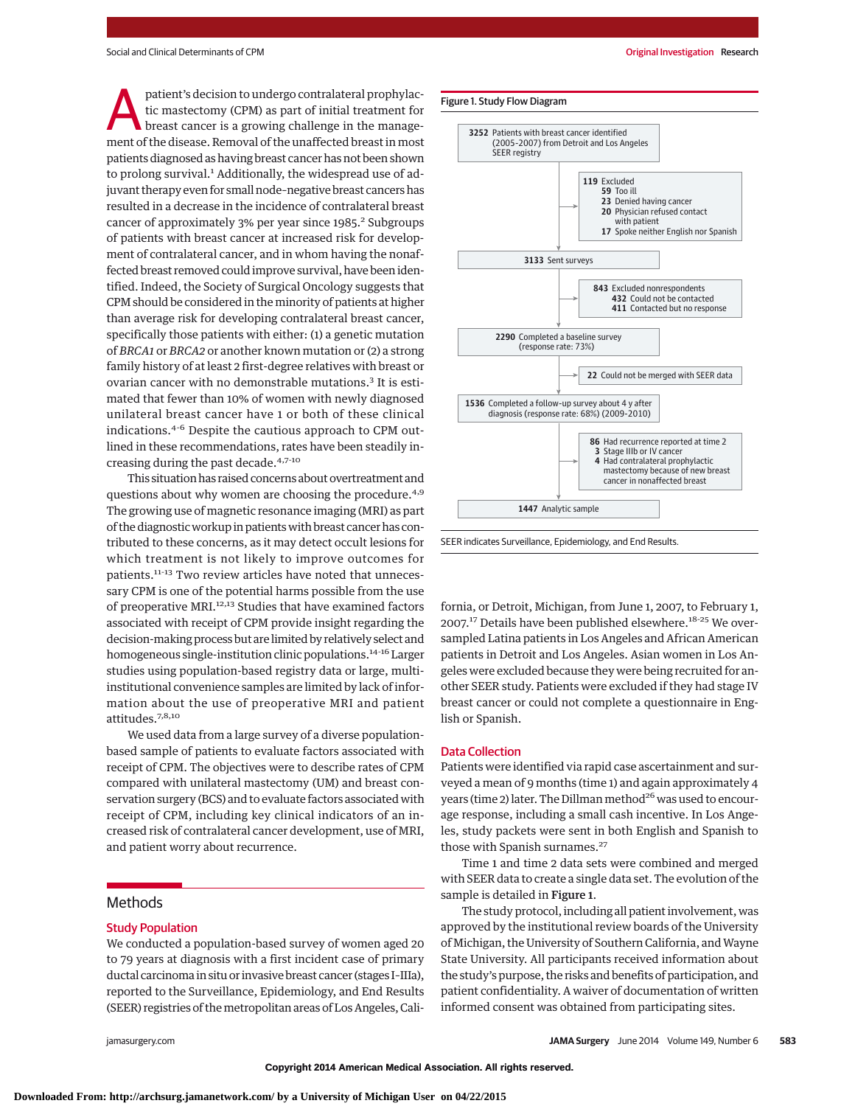patient's decision to undergo contralateral prophylactic mastectomy (CPM) as part of initial treatment for breast cancer is a growing challenge in the management of the discase Permanal of the unaffected breast in most tic mastectomy (CPM) as part of initial treatment for breast cancer is a growing challenge in the management of the disease. Removal of the unaffected breast in most patients diagnosed as having breast cancer has not been shown to prolong survival.<sup>1</sup> Additionally, the widespread use of adjuvant therapy even for small node–negative breast cancers has resulted in a decrease in the incidence of contralateral breast cancer of approximately 3% per year since 1985.<sup>2</sup> Subgroups of patients with breast cancer at increased risk for development of contralateral cancer, and in whom having the nonaffected breast removed could improve survival, have been identified. Indeed, the Society of Surgical Oncology suggests that CPM should be considered in the minority of patients at higher than average risk for developing contralateral breast cancer, specifically those patients with either: (1) a genetic mutation of *BRCA1* or *BRCA2* or another known mutation or (2) a strong family history of at least 2 first-degree relatives with breast or ovarian cancer with no demonstrable mutations.<sup>3</sup> It is estimated that fewer than 10% of women with newly diagnosed unilateral breast cancer have 1 or both of these clinical indications.4-6 Despite the cautious approach to CPM outlined in these recommendations, rates have been steadily increasing during the past decade.4,7-10

This situation has raised concerns about overtreatment and questions about why women are choosing the procedure.<sup>4,9</sup> The growing use of magnetic resonance imaging (MRI) as part of the diagnosticworkup in patientswith breast cancer has contributed to these concerns, as it may detect occult lesions for which treatment is not likely to improve outcomes for patients.11-13 Two review articles have noted that unnecessary CPM is one of the potential harms possible from the use of preoperative MRI.<sup>12,13</sup> Studies that have examined factors associated with receipt of CPM provide insight regarding the decision-making process but are limited by relatively select and homogeneous single-institution clinic populations.<sup>14-16</sup> Larger studies using population-based registry data or large, multiinstitutional convenience samples are limited by lack of information about the use of preoperative MRI and patient attitudes.7,8,10

We used data from a large survey of a diverse populationbased sample of patients to evaluate factors associated with receipt of CPM. The objectives were to describe rates of CPM compared with unilateral mastectomy (UM) and breast conservation surgery (BCS) and to evaluate factors associated with receipt of CPM, including key clinical indicators of an increased risk of contralateral cancer development, use of MRI, and patient worry about recurrence.

# Methods

## Study Population

We conducted a population-based survey of women aged 20 to 79 years at diagnosis with a first incident case of primary ductal carcinoma in situ or invasive breast cancer (stages I–IIIa), reported to the Surveillance, Epidemiology, and End Results (SEER) registries of themetropolitan areas of Los Angeles, Cali-





SEER indicates Surveillance, Epidemiology, and End Results.

fornia, or Detroit, Michigan, from June 1, 2007, to February 1, 2007.<sup>17</sup> Details have been published elsewhere.<sup>18-25</sup> We oversampled Latina patients in Los Angeles and African American patients in Detroit and Los Angeles. Asian women in Los Angeles were excluded because they were being recruited for another SEER study. Patients were excluded if they had stage IV breast cancer or could not complete a questionnaire in English or Spanish.

#### Data Collection

Patients were identified via rapid case ascertainment and surveyed a mean of 9 months (time 1) and again approximately 4 years (time 2) later. The Dillman method<sup>26</sup> was used to encourage response, including a small cash incentive. In Los Angeles, study packets were sent in both English and Spanish to those with Spanish surnames.<sup>27</sup>

Time 1 and time 2 data sets were combined and merged with SEER data to create a single data set. The evolution of the sample is detailed in Figure 1.

The study protocol, including all patient involvement, was approved by the institutional review boards of the University of Michigan, the University of Southern California, and Wayne State University. All participants received information about the study's purpose, the risks and benefits of participation, and patient confidentiality. A waiver of documentation of written informed consent was obtained from participating sites.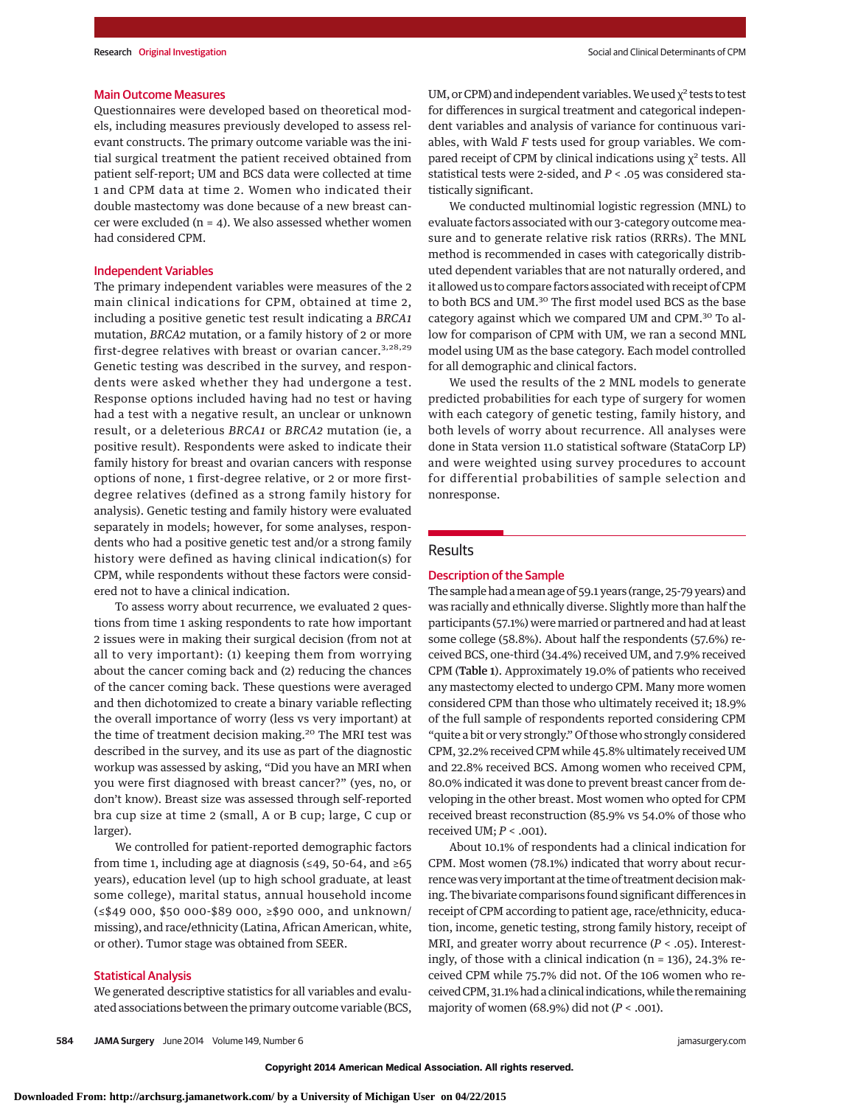#### Main Outcome Measures

Questionnaires were developed based on theoretical models, including measures previously developed to assess relevant constructs. The primary outcome variable was the initial surgical treatment the patient received obtained from patient self-report; UM and BCS data were collected at time 1 and CPM data at time 2. Women who indicated their double mastectomy was done because of a new breast cancer were excluded  $(n = 4)$ . We also assessed whether women had considered CPM.

#### Independent Variables

The primary independent variables were measures of the 2 main clinical indications for CPM, obtained at time 2, including a positive genetic test result indicating a *BRCA1* mutation, *BRCA2* mutation, or a family history of 2 or more first-degree relatives with breast or ovarian cancer.<sup>3,28,29</sup> Genetic testing was described in the survey, and respondents were asked whether they had undergone a test. Response options included having had no test or having had a test with a negative result, an unclear or unknown result, or a deleterious *BRCA1* or *BRCA2* mutation (ie, a positive result). Respondents were asked to indicate their family history for breast and ovarian cancers with response options of none, 1 first-degree relative, or 2 or more firstdegree relatives (defined as a strong family history for analysis). Genetic testing and family history were evaluated separately in models; however, for some analyses, respondents who had a positive genetic test and/or a strong family history were defined as having clinical indication(s) for CPM, while respondents without these factors were considered not to have a clinical indication.

To assess worry about recurrence, we evaluated 2 questions from time 1 asking respondents to rate how important 2 issues were in making their surgical decision (from not at all to very important): (1) keeping them from worrying about the cancer coming back and (2) reducing the chances of the cancer coming back. These questions were averaged and then dichotomized to create a binary variable reflecting the overall importance of worry (less vs very important) at the time of treatment decision making.<sup>20</sup> The MRI test was described in the survey, and its use as part of the diagnostic workup was assessed by asking, "Did you have an MRI when you were first diagnosed with breast cancer?" (yes, no, or don't know). Breast size was assessed through self-reported bra cup size at time 2 (small, A or B cup; large, C cup or larger).

We controlled for patient-reported demographic factors from time 1, including age at diagnosis (≤49, 50-64, and ≥65 years), education level (up to high school graduate, at least some college), marital status, annual household income (≤\$49 000, \$50 000-\$89 000, ≥\$90 000, and unknown/ missing), and race**/**ethnicity (Latina, African American, white, or other). Tumor stage was obtained from SEER.

#### Statistical Analysis

We generated descriptive statistics for all variables and evaluated associations between the primary outcome variable (BCS, UM, or CPM) and independent variables. We used  $\chi^2$  tests to test for differences in surgical treatment and categorical independent variables and analysis of variance for continuous variables, with Wald *F* tests used for group variables. We compared receipt of CPM by clinical indications using  $\chi^2$  tests. All statistical tests were 2-sided, and *P* < .05 was considered statistically significant.

We conducted multinomial logistic regression (MNL) to evaluate factors associated with our 3-category outcome measure and to generate relative risk ratios (RRRs). The MNL method is recommended in cases with categorically distributed dependent variables that are not naturally ordered, and it allowed us to compare factors associated with receipt of CPM to both BCS and UM.<sup>30</sup> The first model used BCS as the base category against which we compared UM and CPM.<sup>30</sup> To allow for comparison of CPM with UM, we ran a second MNL model using UM as the base category. Each model controlled for all demographic and clinical factors.

We used the results of the 2 MNL models to generate predicted probabilities for each type of surgery for women with each category of genetic testing, family history, and both levels of worry about recurrence. All analyses were done in Stata version 11.0 statistical software (StataCorp LP) and were weighted using survey procedures to account for differential probabilities of sample selection and nonresponse.

### Results

## Description of the Sample

The sample had amean age of 59.1 years (range, 25-79 years) and was racially and ethnically diverse. Slightly more than half the participants (57.1%) were married or partnered and had at least some college (58.8%). About half the respondents (57.6%) received BCS, one-third (34.4%) received UM, and 7.9% received CPM (Table 1). Approximately 19.0% of patients who received any mastectomy elected to undergo CPM. Many more women considered CPM than those who ultimately received it; 18.9% of the full sample of respondents reported considering CPM "quite a bit or very strongly." Of those who strongly considered CPM, 32.2% received CPM while 45.8% ultimately received UM and 22.8% received BCS. Among women who received CPM, 80.0% indicated it was done to prevent breast cancer from developing in the other breast. Most women who opted for CPM received breast reconstruction (85.9% vs 54.0% of those who received UM; *P* < .001).

About 10.1% of respondents had a clinical indication for CPM. Most women (78.1%) indicated that worry about recurrence was very important at the time of treatment decision making. The bivariate comparisons found significant differences in receipt of CPM according to patient age, race/ethnicity, education, income, genetic testing, strong family history, receipt of MRI, and greater worry about recurrence (*P* < .05). Interestingly, of those with a clinical indication (n = 136), 24.3% received CPM while 75.7% did not. Of the 106 women who receivedCPM, 31.1%had a clinical indications,while the remaining majority of women (68.9%) did not (*P* < .001).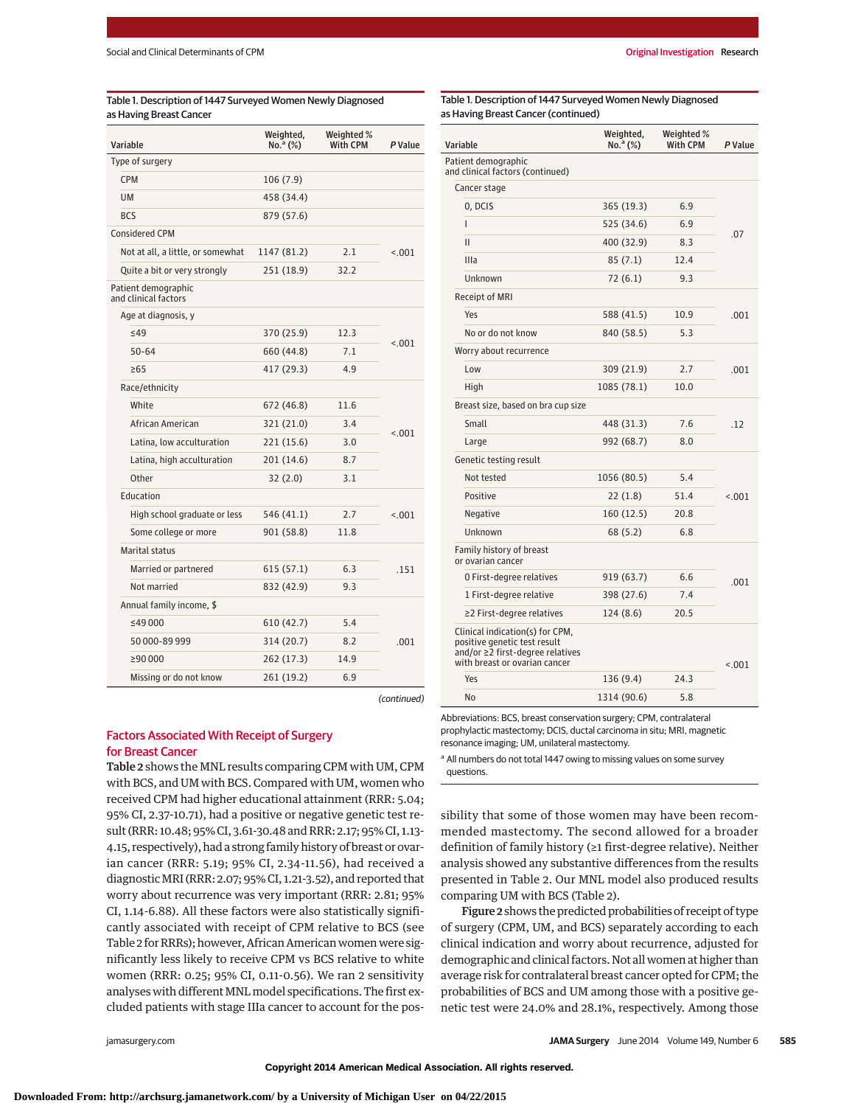Table 1. Description of 1447 Surveyed Women Newly Diagnosed

| Variable                                    | Weighted,<br>No. <sup>a</sup> (%) | Weighted %<br>With CPM | P Value |
|---------------------------------------------|-----------------------------------|------------------------|---------|
| Type of surgery                             |                                   |                        |         |
| <b>CPM</b>                                  | 106 (7.9)                         |                        |         |
| <b>UM</b>                                   | 458 (34.4)                        |                        |         |
| <b>BCS</b>                                  | 879 (57.6)                        |                        |         |
| <b>Considered CPM</b>                       |                                   |                        |         |
| Not at all, a little, or somewhat           | 1147 (81.2)                       | 2.1                    | < 0.001 |
| Quite a bit or very strongly                | 251 (18.9)                        | 32.2                   |         |
| Patient demographic<br>and clinical factors |                                   |                        |         |
| Age at diagnosis, y                         |                                   |                        |         |
| ≤49                                         | 370 (25.9)                        | 12.3                   | < 0.001 |
| $50 - 64$                                   | 660 (44.8)                        | 7.1                    |         |
| $\geq 65$                                   | 417 (29.3)                        | 4.9                    |         |
| Race/ethnicity                              |                                   |                        |         |
| White                                       | 672 (46.8)                        | 11.6                   |         |
| African American                            | 321 (21.0)                        | 3.4                    | < 0.001 |
| Latina, low acculturation                   | 221 (15.6)                        | 3.0                    |         |
| Latina, high acculturation                  | 201 (14.6)                        | 8.7                    |         |
| Other                                       | 32 (2.0)                          | 3.1                    |         |
| Education                                   |                                   |                        |         |
| High school graduate or less                | 546 (41.1)                        | 2.7                    | < .001  |
| Some college or more                        | 901 (58.8)                        | 11.8                   |         |
| <b>Marital status</b>                       |                                   |                        |         |
| Married or partnered                        | 615 (57.1)                        | 6.3                    | .151    |
| Not married                                 | 832 (42.9)                        | 9.3                    |         |
| Annual family income, \$                    |                                   |                        |         |
| ≤49 000                                     | 610 (42.7)                        | 5.4                    |         |
| 50 000-89 999                               | 314 (20.7)                        | 8.2                    | .001    |
| $\geq 90000$                                | 262 (17.3)                        | 14.9                   |         |
| Missing or do not know                      | 261 (19.2)                        | 6.9                    |         |

(continued)

# Factors Associated With Receipt of Surgery for Breast Cancer

Table 2 shows the MNL results comparing CPM with UM, CPM with BCS, and UM with BCS. Compared with UM, women who received CPM had higher educational attainment (RRR: 5.04; 95% CI, 2.37-10.71), had a positive or negative genetic test result (RRR: 10.48; 95% CI, 3.61-30.48 and RRR: 2.17; 95% CI, 1.13- 4.15, respectively), had a strong family history of breast or ovarian cancer (RRR: 5.19; 95% CI, 2.34-11.56), had received a diagnosticMRI (RRR: 2.07; 95% CI, 1.21-3.52), and reported that worry about recurrence was very important (RRR: 2.81; 95% CI, 1.14-6.88). All these factors were also statistically significantly associated with receipt of CPM relative to BCS (see Table 2 for RRRs); however, African American women were significantly less likely to receive CPM vs BCS relative to white women (RRR: 0.25; 95% CI, 0.11-0.56). We ran 2 sensitivity analyses with different MNL model specifications. The first excluded patients with stage IIIa cancer to account for the posTable 1. Description of 1447 Surveyed Women Newly Diagnosed as Having Breast Cancer (continued)

| Variable                                                                                                                             | Weighted,<br>No. <sup>a</sup> (%) | Weighted %<br><b>With CPM</b> | P Value |
|--------------------------------------------------------------------------------------------------------------------------------------|-----------------------------------|-------------------------------|---------|
| Patient demographic<br>and clinical factors (continued)                                                                              |                                   |                               |         |
| Cancer stage                                                                                                                         |                                   |                               |         |
| 0, DCIS                                                                                                                              | 365 (19.3)                        | 6.9                           |         |
| L                                                                                                                                    | 525 (34.6)                        | 6.9                           | .07     |
| $\mathsf{II}$                                                                                                                        | 400 (32.9)                        | 8.3                           |         |
| IIIa                                                                                                                                 | 85(7.1)                           | 12.4                          |         |
| Unknown                                                                                                                              | 72(6.1)                           | 9.3                           |         |
| Receipt of MRI                                                                                                                       |                                   |                               |         |
| Yes                                                                                                                                  | 588 (41.5)                        | 10.9                          | .001    |
| No or do not know                                                                                                                    | 840 (58.5)                        | 5.3                           |         |
| Worry about recurrence                                                                                                               |                                   |                               |         |
| Low                                                                                                                                  | 309 (21.9)                        | 2.7                           | .001    |
| High                                                                                                                                 | 1085 (78.1)                       | 10.0                          |         |
| Breast size, based on bra cup size                                                                                                   |                                   |                               |         |
| Small                                                                                                                                | 448 (31.3)                        | 7.6                           | .12     |
| Large                                                                                                                                | 992 (68.7)                        | 8.0                           |         |
| Genetic testing result                                                                                                               |                                   |                               |         |
| Not tested                                                                                                                           | 1056 (80.5)                       | 5.4                           |         |
| Positive                                                                                                                             | 22(1.8)                           | 51.4                          | < 0.001 |
| Negative                                                                                                                             | 160 (12.5)                        | 20.8                          |         |
| Unknown                                                                                                                              | 68 (5.2)                          | 6.8                           |         |
| Family history of breast<br>or ovarian cancer                                                                                        |                                   |                               |         |
| 0 First-degree relatives                                                                                                             | 919 (63.7)                        | 6.6                           | .001    |
| 1 First-degree relative                                                                                                              | 398 (27.6)                        | 7.4                           |         |
| ≥2 First-degree relatives                                                                                                            | 124 (8.6)                         | 20.5                          |         |
| Clinical indication(s) for CPM,<br>positive genetic test result<br>and/or ≥2 first-degree relatives<br>with breast or ovarian cancer |                                   |                               | < 0.01  |
| Yes                                                                                                                                  | 136 (9.4)                         | 24.3                          |         |
| No                                                                                                                                   | 1314 (90.6)                       | 5.8                           |         |

Abbreviations: BCS, breast conservation surgery; CPM, contralateral prophylactic mastectomy; DCIS, ductal carcinoma in situ; MRI, magnetic resonance imaging; UM, unilateral mastectomy.

<sup>a</sup> All numbers do not total 1447 owing to missing values on some survey questions.

sibility that some of those women may have been recommended mastectomy. The second allowed for a broader definition of family history (≥1 first-degree relative). Neither analysis showed any substantive differences from the results presented in Table 2. Our MNL model also produced results comparing UM with BCS (Table 2).

Figure 2 shows the predicted probabilities of receipt of type of surgery (CPM, UM, and BCS) separately according to each clinical indication and worry about recurrence, adjusted for demographic and clinical factors. Not all women at higher than average risk for contralateral breast cancer opted for CPM; the probabilities of BCS and UM among those with a positive genetic test were 24.0% and 28.1%, respectively. Among those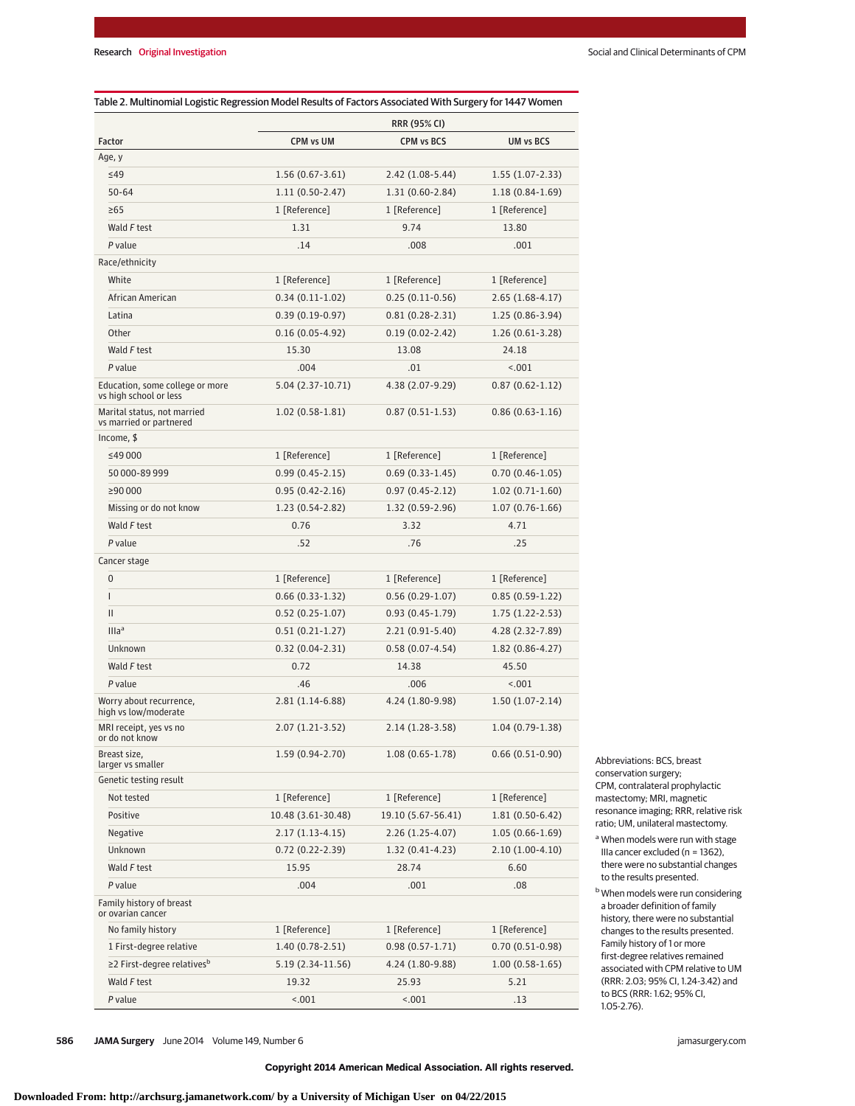|                                                           | Table 2. Multinomial Logistic Regression Model Results of Factors Associated With Surgery for 1447 Women |                     |                     |  |
|-----------------------------------------------------------|----------------------------------------------------------------------------------------------------------|---------------------|---------------------|--|
|                                                           |                                                                                                          | RRR (95% CI)        |                     |  |
| Factor                                                    | <b>CPM vs UM</b>                                                                                         | <b>CPM vs BCS</b>   | UM vs BCS           |  |
| Age, y                                                    |                                                                                                          |                     |                     |  |
| $\leq$ 49                                                 | $1.56(0.67-3.61)$                                                                                        | $2.42(1.08-5.44)$   | $1.55(1.07-2.33)$   |  |
| $50 - 64$                                                 | $1.11(0.50-2.47)$                                                                                        | $1.31(0.60-2.84)$   | $1.18(0.84-1.69)$   |  |
| $\geq 65$                                                 | 1 [Reference]                                                                                            | 1 [Reference]       | 1 [Reference]       |  |
| Wald F test                                               | 1.31                                                                                                     | 9.74                | 13.80               |  |
| P value                                                   | .14                                                                                                      | .008                | .001                |  |
| Race/ethnicity                                            |                                                                                                          |                     |                     |  |
| White                                                     | 1 [Reference]                                                                                            | 1 [Reference]       | 1 [Reference]       |  |
| African American                                          | $0.34(0.11-1.02)$                                                                                        | $0.25(0.11-0.56)$   | $2.65(1.68-4.17)$   |  |
| Latina                                                    | $0.39(0.19-0.97)$                                                                                        | $0.81(0.28-2.31)$   | $1.25(0.86-3.94)$   |  |
| Other                                                     | $0.16(0.05-4.92)$                                                                                        | $0.19(0.02 - 2.42)$ | $1.26(0.61-3.28)$   |  |
| Wald F test                                               | 15.30                                                                                                    | 13.08               | 24.18               |  |
| P value                                                   | .004                                                                                                     | .01                 | < .001              |  |
| Education, some college or more<br>vs high school or less | 5.04 (2.37-10.71)                                                                                        | 4.38 (2.07-9.29)    | $0.87(0.62 - 1.12)$ |  |
| Marital status, not married<br>vs married or partnered    | $1.02(0.58-1.81)$                                                                                        | $0.87(0.51-1.53)$   | $0.86(0.63-1.16)$   |  |
| Income, \$                                                |                                                                                                          |                     |                     |  |
| ≤49 000                                                   | 1 [Reference]                                                                                            | 1 [Reference]       | 1 [Reference]       |  |
| 50 000-89 999                                             | $0.99(0.45 - 2.15)$                                                                                      | $0.69(0.33-1.45)$   | $0.70(0.46-1.05)$   |  |
| ≥90 000                                                   | $0.95(0.42 - 2.16)$                                                                                      | $0.97(0.45 - 2.12)$ | $1.02(0.71-1.60)$   |  |
| Missing or do not know                                    | $1.23(0.54-2.82)$                                                                                        | $1.32(0.59-2.96)$   | $1.07(0.76-1.66)$   |  |
| Wald F test                                               | 0.76                                                                                                     | 3.32                | 4.71                |  |
| P value                                                   | .52                                                                                                      | .76                 | .25                 |  |
| Cancer stage                                              |                                                                                                          |                     |                     |  |
| $\bf{0}$                                                  | 1 [Reference]                                                                                            | 1 [Reference]       | 1 [Reference]       |  |
| $\overline{1}$                                            | $0.66(0.33-1.32)$                                                                                        | $0.56(0.29-1.07)$   | $0.85(0.59-1.22)$   |  |
| $\mathbf{II}$                                             | $0.52(0.25-1.07)$                                                                                        | $0.93(0.45-1.79)$   | $1.75(1.22 - 2.53)$ |  |
| IIIa <sup>a</sup>                                         | $0.51(0.21-1.27)$                                                                                        | $2.21(0.91-5.40)$   | 4.28 (2.32-7.89)    |  |
| <b>Unknown</b>                                            | $0.32(0.04-2.31)$                                                                                        | $0.58(0.07-4.54)$   | 1.82 (0.86-4.27)    |  |
| Wald F test                                               | 0.72                                                                                                     | 14.38               | 45.50               |  |
| P value                                                   | .46                                                                                                      | .006                | < .001              |  |
| Worry about recurrence,<br>high vs low/moderate           | $2.81(1.14-6.88)$                                                                                        | 4.24 (1.80-9.98)    | $1.50(1.07-2.14)$   |  |
| MRI receipt, yes vs no<br>or do not know                  | $2.07(1.21-3.52)$                                                                                        | $2.14(1.28-3.58)$   | $1.04(0.79-1.38)$   |  |
| Breast size,<br>larger vs smaller                         | $1.59(0.94-2.70)$                                                                                        | $1.08(0.65-1.78)$   | $0.66(0.51-0.90)$   |  |
| Genetic testing result                                    |                                                                                                          |                     |                     |  |
| Not tested                                                | 1 [Reference]                                                                                            | 1 [Reference]       | 1 [Reference]       |  |
| Positive                                                  | 10.48 (3.61-30.48)                                                                                       | 19.10 (5.67-56.41)  | $1.81(0.50-6.42)$   |  |
| Negative                                                  | $2.17(1.13-4.15)$                                                                                        | 2.26 (1.25-4.07)    | $1.05(0.66-1.69)$   |  |
| Unknown                                                   | $0.72(0.22 - 2.39)$                                                                                      | $1.32(0.41-4.23)$   | $2.10(1.00-4.10)$   |  |
| Wald F test                                               | 15.95                                                                                                    | 28.74               | 6.60                |  |
| P value                                                   | .004                                                                                                     | .001                | .08                 |  |
| Family history of breast<br>or ovarian cancer             |                                                                                                          |                     |                     |  |
| No family history                                         | 1 [Reference]                                                                                            | 1 [Reference]       | 1 [Reference]       |  |
| 1 First-degree relative                                   | $1.40(0.78-2.51)$                                                                                        | $0.98(0.57 - 1.71)$ | $0.70(0.51-0.98)$   |  |
| $\geq$ 2 First-degree relatives <sup>b</sup>              | 5.19 (2.34-11.56)                                                                                        | 4.24 (1.80-9.88)    | $1.00(0.58-1.65)$   |  |
| Wald F test                                               | 19.32                                                                                                    | 25.93               | 5.21                |  |
| P value                                                   | < .001                                                                                                   | < .001              | .13                 |  |

Abbreviations: BCS, breast conservation surgery; CPM, contralateral prophylactic mastectomy; MRI, magnetic resonance imaging; RRR, relative risk ratio; UM, unilateral mastectomy.

- a When models were run with stage IIIa cancer excluded (n = 1362), there were no substantial changes to the results presented.
- **b** When models were run considering a broader definition of family history, there were no substantial changes to the results presented. Family history of 1 or more first-degree relatives remained associated with CPM relative to UM (RRR: 2.03; 95% CI, 1.24-3.42) and to BCS (RRR: 1.62; 95% CI, 1.05-2.76).

**586 JAMA Surgery** June 2014 Volume 149, Number 6 jamasurgery.com **blue 149, Number 6 jamasurgery.com** jamasurgery.com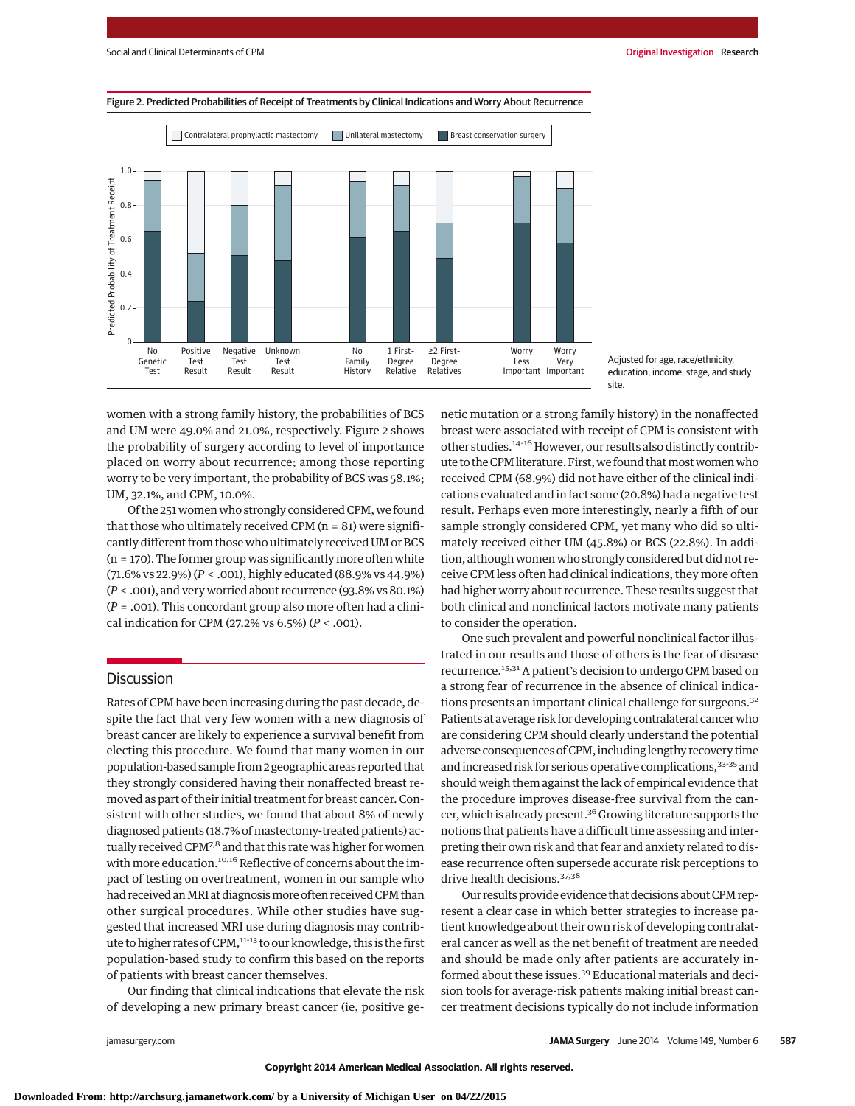

Adjusted for age, race/ethnicity, education, income, stage, and study site.

women with a strong family history, the probabilities of BCS and UM were 49.0% and 21.0%, respectively. Figure 2 shows the probability of surgery according to level of importance placed on worry about recurrence; among those reporting worry to be very important, the probability of BCS was 58.1%; UM, 32.1%, and CPM, 10.0%.

Of the 251 women who strongly considered CPM, we found that those who ultimately received CPM ( $n = 81$ ) were significantly different from those who ultimately received UM or BCS  $(n = 170)$ . The former group was significantly more often white (71.6% vs 22.9%) (*P* < .001), highly educated (88.9% vs 44.9%) (*P* < .001), and very worried about recurrence (93.8% vs 80.1%) (*P* = .001). This concordant group also more often had a clinical indication for CPM (27.2% vs 6.5%) (*P* < .001).

# **Discussion**

Rates of CPM have been increasing during the past decade, despite the fact that very few women with a new diagnosis of breast cancer are likely to experience a survival benefit from electing this procedure. We found that many women in our population-based sample from 2 geographic areas reported that they strongly considered having their nonaffected breast removed as part of their initial treatment for breast cancer. Consistent with other studies, we found that about 8% of newly diagnosed patients (18.7% of mastectomy-treated patients) actually received CPM<sup>7,8</sup> and that this rate was higher for women with more education.<sup>10,16</sup> Reflective of concerns about the impact of testing on overtreatment, women in our sample who had received an MRI at diagnosis more often received CPM than other surgical procedures. While other studies have suggested that increased MRI use during diagnosis may contribute to higher rates of CPM,<sup>11-13</sup> to our knowledge, this is the first population-based study to confirm this based on the reports of patients with breast cancer themselves.

Our finding that clinical indications that elevate the risk of developing a new primary breast cancer (ie, positive genetic mutation or a strong family history) in the nonaffected breast were associated with receipt of CPM is consistent with other studies.<sup>14-16</sup> However, our results also distinctly contribute to the CPM literature. First, we found that most women who received CPM (68.9%) did not have either of the clinical indications evaluated and in fact some (20.8%) had a negative test result. Perhaps even more interestingly, nearly a fifth of our sample strongly considered CPM, yet many who did so ultimately received either UM (45.8%) or BCS (22.8%). In addition, although women who strongly considered but did not receive CPM less often had clinical indications, they more often had higher worry about recurrence. These results suggest that both clinical and nonclinical factors motivate many patients to consider the operation.

One such prevalent and powerful nonclinical factor illustrated in our results and those of others is the fear of disease recurrence.<sup>15,31</sup> A patient's decision to undergo CPM based on a strong fear of recurrence in the absence of clinical indications presents an important clinical challenge for surgeons.<sup>32</sup> Patients at average risk for developing contralateral cancer who are considering CPM should clearly understand the potential adverse consequences of CPM, including lengthy recovery time and increased risk for serious operative complications, 33-35 and should weigh them against the lack of empirical evidence that the procedure improves disease-free survival from the cancer, which is already present.<sup>36</sup> Growing literature supports the notions that patients have a difficult time assessing and interpreting their own risk and that fear and anxiety related to disease recurrence often supersede accurate risk perceptions to drive health decisions.37,38

Our results provide evidence that decisions about CPM represent a clear case in which better strategies to increase patient knowledge about their own risk of developing contralateral cancer as well as the net benefit of treatment are needed and should be made only after patients are accurately informed about these issues.<sup>39</sup> Educational materials and decision tools for average-risk patients making initial breast cancer treatment decisions typically do not include information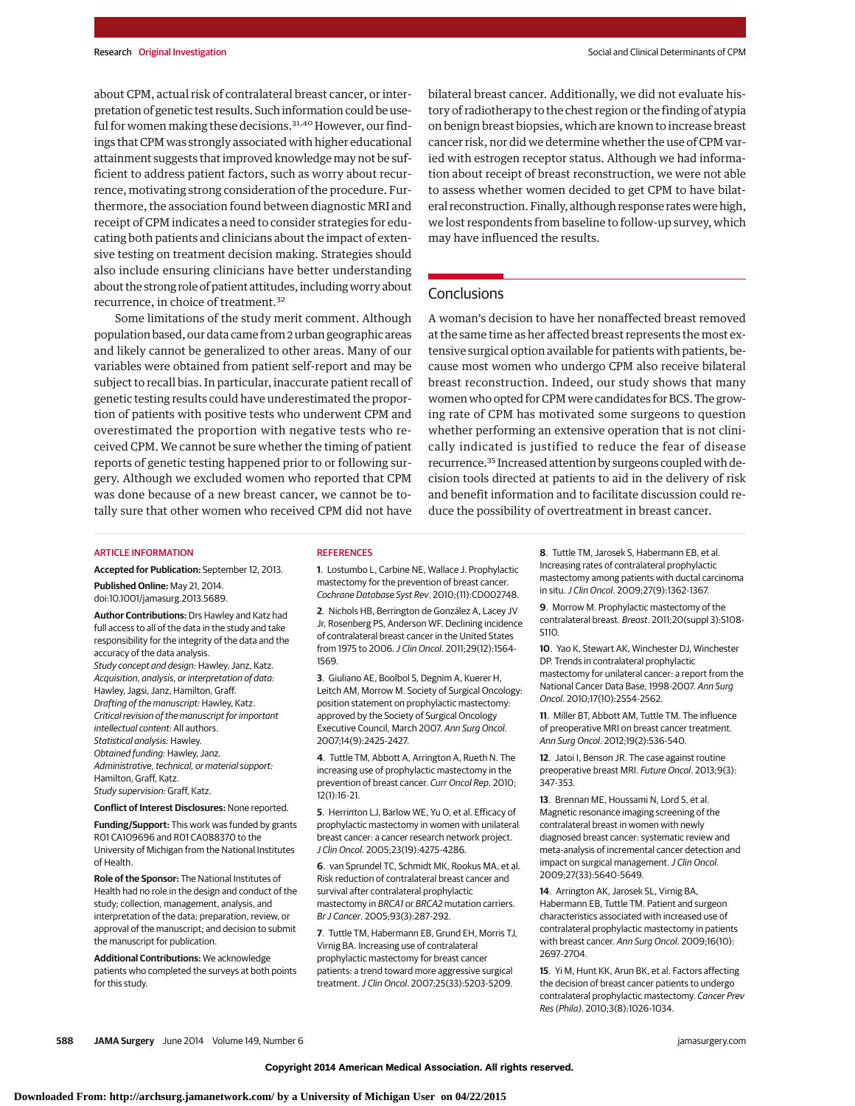about CPM, actual risk of contralateral breast cancer, or interpretation of genetic test results. Such information could be useful for women making these decisions.<sup>31,40</sup> However, our findings that CPM was strongly associated with higher educational attainment suggests that improved knowledgemay not be sufficient to address patient factors, such as worry about recurrence, motivating strong consideration of the procedure. Furthermore, the association found between diagnostic MRI and receipt of CPM indicates a need to consider strategies for educating both patients and clinicians about the impact of extensive testing on treatment decision making. Strategies should also include ensuring clinicians have better understanding about the strong role of patient attitudes, includingworry about recurrence, in choice of treatment.<sup>32</sup>

Some limitations of the study merit comment. Although population based, our data came from 2 urban geographic areas and likely cannot be generalized to other areas. Many of our variables were obtained from patient self-report and may be subject to recall bias. In particular, inaccurate patient recall of genetic testing results could have underestimated the proportion of patients with positive tests who underwent CPM and overestimated the proportion with negative tests who received CPM. We cannot be sure whether the timing of patient reports of genetic testing happened prior to or following surgery. Although we excluded women who reported that CPM was done because of a new breast cancer, we cannot be totally sure that other women who received CPM did not have bilateral breast cancer. Additionally, we did not evaluate history of radiotherapy to the chest region or the finding of atypia on benign breast biopsies, which are known to increase breast cancer risk, nor did we determine whether the use of CPM varied with estrogen receptor status. Although we had information about receipt of breast reconstruction, we were not able to assess whether women decided to get CPM to have bilateral reconstruction. Finally, although response rates were high, we lost respondents from baseline to follow-up survey, which may have influenced the results.

## **Conclusions**

A woman's decision to have her nonaffected breast removed at the same time as her affected breast represents the most extensive surgical option available for patients with patients, because most women who undergo CPM also receive bilateral breast reconstruction. Indeed, our study shows that many women who opted for CPM were candidates for BCS. The growing rate of CPM has motivated some surgeons to question whether performing an extensive operation that is not clinically indicated is justified to reduce the fear of disease recurrence.35 Increased attention by surgeons coupled with decision tools directed at patients to aid in the delivery of risk and benefit information and to facilitate discussion could reduce the possibility of overtreatment in breast cancer.

#### ARTICLE INFORMATION

**Accepted for Publication:** September 12, 2013.

**Published Online:** May 21, 2014. doi:10.1001/jamasurg.2013.5689.

**Author Contributions:** Drs Hawley and Katz had full access to all of the data in the study and take responsibility for the integrity of the data and the accuracy of the data analysis. Study concept and design: Hawley, Janz, Katz. Acquisition, analysis, or interpretation of data: Hawley, Jagsi, Janz, Hamilton, Graff. Drafting of the manuscript: Hawley, Katz. Critical revision of the manuscript for important intellectual content: All authors. Statistical analysis: Hawley. Obtained funding: Hawley, Janz. Administrative, technical, or material support: Hamilton, Graff, Katz. Study supervision: Graff, Katz.

**Conflict of Interest Disclosures:** None reported.

**Funding/Support:** This work was funded by grants R01 CA109696 and R01 CA088370 to the University of Michigan from the National Institutes of Health.

**Role of the Sponsor:** The National Institutes of Health had no role in the design and conduct of the study; collection, management, analysis, and interpretation of the data; preparation, review, or approval of the manuscript; and decision to submit the manuscript for publication.

**Additional Contributions:** We acknowledge patients who completed the surveys at both points for this study.

#### **REFERENCES**

**1**. Lostumbo L, Carbine NE, Wallace J. Prophylactic mastectomy for the prevention of breast cancer. Cochrane Database Syst Rev. 2010;(11):CD002748.

**2**. Nichols HB, Berrington de González A, Lacey JV Jr, Rosenberg PS, Anderson WF. Declining incidence of contralateral breast cancer in the United States from 1975 to 2006. J Clin Oncol. 2011;29(12):1564-1569.

**3**. Giuliano AE, Boolbol S, Degnim A, Kuerer H, Leitch AM, Morrow M. Society of Surgical Oncology: position statement on prophylactic mastectomy: approved by the Society of Surgical Oncology Executive Council, March 2007. Ann Surg Oncol. 2007;14(9):2425-2427.

**4**. Tuttle TM, Abbott A, Arrington A, Rueth N. The increasing use of prophylactic mastectomy in the prevention of breast cancer. Curr Oncol Rep. 2010; 12(1):16-21.

**5**. Herrinton LJ, Barlow WE, Yu O, et al. Efficacy of prophylactic mastectomy in women with unilateral breast cancer: a cancer research network project. J Clin Oncol. 2005;23(19):4275-4286.

**6**. van Sprundel TC, Schmidt MK, Rookus MA, et al. Risk reduction of contralateral breast cancer and survival after contralateral prophylactic mastectomy in BRCA1 or BRCA2 mutation carriers. Br J Cancer. 2005;93(3):287-292.

**7**. Tuttle TM, Habermann EB, Grund EH, Morris TJ, Virnig BA. Increasing use of contralateral prophylactic mastectomy for breast cancer patients: a trend toward more aggressive surgical treatment.J Clin Oncol. 2007;25(33):5203-5209.

**8**. Tuttle TM, Jarosek S, Habermann EB, et al. Increasing rates of contralateral prophylactic mastectomy among patients with ductal carcinoma in situ.J Clin Oncol. 2009;27(9):1362-1367.

**9**. Morrow M. Prophylactic mastectomy of the contralateral breast. Breast. 2011;20(suppl 3):S108- S110.

**10**. Yao K, Stewart AK, Winchester DJ, Winchester DP. Trends in contralateral prophylactic mastectomy for unilateral cancer: a report from the National Cancer Data Base, 1998-2007. Ann Surg Oncol. 2010;17(10):2554-2562.

**11**. Miller BT, Abbott AM, Tuttle TM. The influence of preoperative MRI on breast cancer treatment. Ann Surg Oncol. 2012;19(2):536-540.

**12**. Jatoi I, Benson JR. The case against routine preoperative breast MRI. Future Oncol. 2013;9(3): 347-353.

**13**. Brennan ME, Houssami N, Lord S, et al. Magnetic resonance imaging screening of the contralateral breast in women with newly diagnosed breast cancer: systematic review and meta-analysis of incremental cancer detection and impact on surgical management. J Clin Oncol. 2009;27(33):5640-5649.

**14**. Arrington AK, Jarosek SL, Virnig BA, Habermann EB, Tuttle TM. Patient and surgeon characteristics associated with increased use of contralateral prophylactic mastectomy in patients with breast cancer. Ann Surg Oncol. 2009;16(10): 2697-2704.

**15**. Yi M, Hunt KK, Arun BK, et al. Factors affecting the decision of breast cancer patients to undergo contralateral prophylactic mastectomy. Cancer Prev Res (Phila). 2010;3(8):1026-1034.